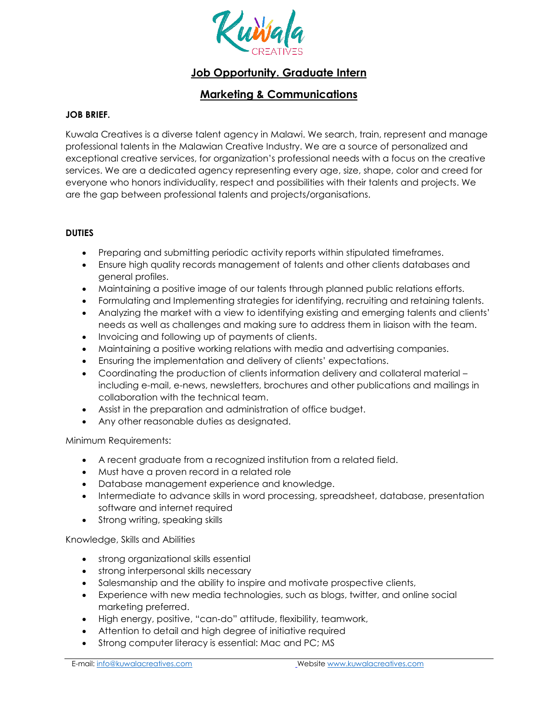

## **Job Opportunity. Graduate Intern**

## **Marketing & Communications**

## **JOB BRIEF.**

Kuwala Creatives is a diverse talent agency in Malawi. We search, train, represent and manage professional talents in the Malawian Creative Industry. We are a source of personalized and exceptional creative services, for organization's professional needs with a focus on the creative services. We are a dedicated agency representing every age, size, shape, color and creed for everyone who honors individuality, respect and possibilities with their talents and projects. We are the gap between professional talents and projects/organisations.

## **DUTIES**

- Preparing and submitting periodic activity reports within stipulated timeframes.
- Ensure high quality records management of talents and other clients databases and general profiles.
- Maintaining a positive image of our talents through planned public relations efforts.
- Formulating and Implementing strategies for identifying, recruiting and retaining talents.
- Analyzing the market with a view to identifying existing and emerging talents and clients' needs as well as challenges and making sure to address them in liaison with the team.
- Invoicing and following up of payments of clients.
- Maintaining a positive working relations with media and advertising companies.
- Ensuring the implementation and delivery of clients' expectations.
- Coordinating the production of clients information delivery and collateral material including e-mail, e-news, newsletters, brochures and other publications and mailings in collaboration with the technical team.
- Assist in the preparation and administration of office budget.
- Any other reasonable duties as designated.

Minimum Requirements:

- A recent graduate from a recognized institution from a related field.
- Must have a proven record in a related role
- Database management experience and knowledge.
- Intermediate to advance skills in word processing, spreadsheet, database, presentation software and internet required
- Strong writing, speaking skills

Knowledge, Skills and Abilities

- strong organizational skills essential
- strong interpersonal skills necessary
- Salesmanship and the ability to inspire and motivate prospective clients,
- Experience with new media technologies, such as blogs, twitter, and online social marketing preferred.
- High energy, positive, "can-do" attitude, flexibility, teamwork,
- Attention to detail and high degree of initiative required
- Strong computer literacy is essential: Mac and PC; MS